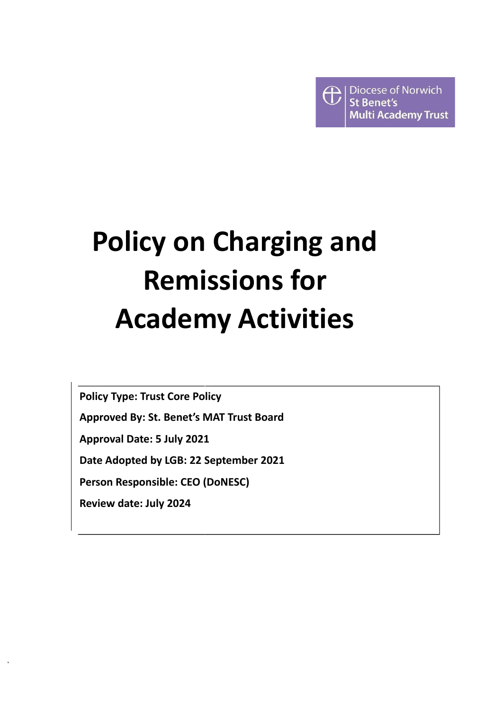

# **Policy on Charging and Remissions for Academy Activities**

**Policy Type: Trust Core Policy**

**Approved By: St. Benet's MAT Trust Board**

**Approval Date: 5 July 2021**

**Date Adopted by LGB: 22 September 2021**

**Person Responsible: CEO (DoNESC)**

**Review date: July 2024**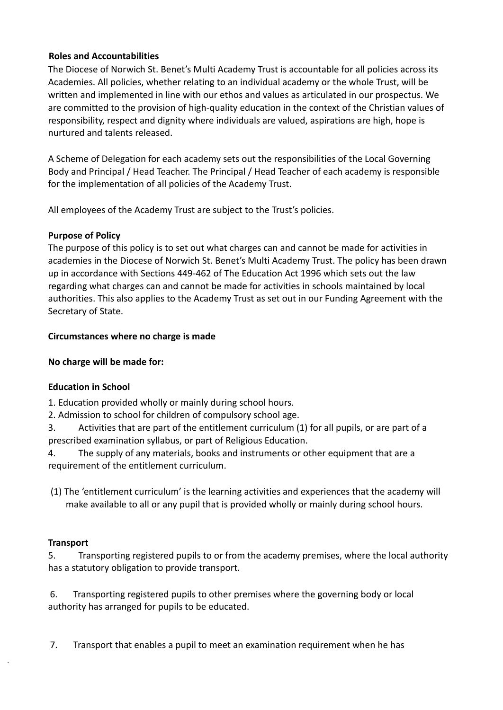# **Roles and Accountabilities**

The Diocese of Norwich St. Benet's Multi Academy Trust is accountable for all policies across its Academies. All policies, whether relating to an individual academy or the whole Trust, will be written and implemented in line with our ethos and values as articulated in our prospectus. We are committed to the provision of high-quality education in the context of the Christian values of responsibility, respect and dignity where individuals are valued, aspirations are high, hope is nurtured and talents released.

A Scheme of Delegation for each academy sets out the responsibilities of the Local Governing Body and Principal / Head Teacher. The Principal / Head Teacher of each academy is responsible for the implementation of all policies of the Academy Trust.

All employees of the Academy Trust are subject to the Trust's policies.

# **Purpose of Policy**

The purpose of this policy is to set out what charges can and cannot be made for activities in academies in the Diocese of Norwich St. Benet's Multi Academy Trust. The policy has been drawn up in accordance with Sections 449-462 of The Education Act 1996 which sets out the law regarding what charges can and cannot be made for activities in schools maintained by local authorities. This also applies to the Academy Trust as set out in our Funding Agreement with the Secretary of State.

# **Circumstances where no charge is made**

# **No charge will be made for:**

# **Education in School**

1. Education provided wholly or mainly during school hours.

2. Admission to school for children of compulsory school age.

3. Activities that are part of the entitlement curriculum (1) for all pupils, or are part of a prescribed examination syllabus, or part of Religious Education.

4. The supply of any materials, books and instruments or other equipment that are a requirement of the entitlement curriculum.

(1) The 'entitlement curriculum' is the learning activities and experiences that the academy will make available to all or any pupil that is provided wholly or mainly during school hours.

# **Transport**

5. Transporting registered pupils to or from the academy premises, where the local authority has a statutory obligation to provide transport.

6. Transporting registered pupils to other premises where the governing body or local authority has arranged for pupils to be educated.

7. Transport that enables a pupil to meet an examination requirement when he has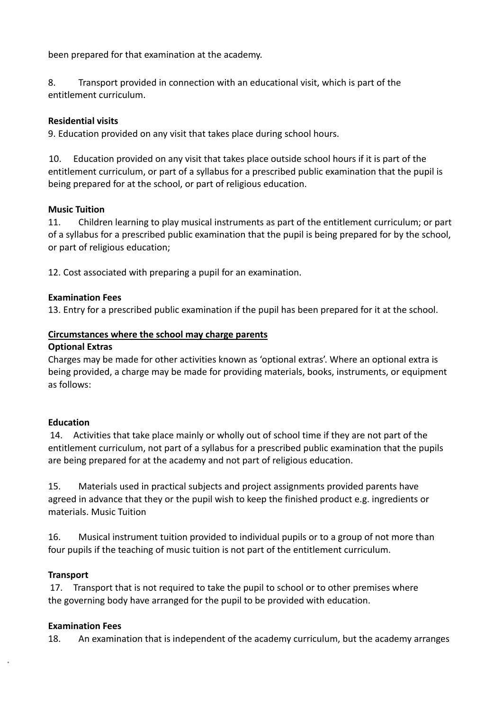been prepared for that examination at the academy.

8. Transport provided in connection with an educational visit, which is part of the entitlement curriculum.

## **Residential visits**

9. Education provided on any visit that takes place during school hours.

10. Education provided on any visit that takes place outside school hours if it is part of the entitlement curriculum, or part of a syllabus for a prescribed public examination that the pupil is being prepared for at the school, or part of religious education.

#### **Music Tuition**

11. Children learning to play musical instruments as part of the entitlement curriculum; or part of a syllabus for a prescribed public examination that the pupil is being prepared for by the school, or part of religious education;

12. Cost associated with preparing a pupil for an examination.

## **Examination Fees**

13. Entry for a prescribed public examination if the pupil has been prepared for it at the school.

# **Circumstances where the school may charge parents**

#### **Optional Extras**

Charges may be made for other activities known as 'optional extras'. Where an optional extra is being provided, a charge may be made for providing materials, books, instruments, or equipment as follows:

#### **Education**

14. Activities that take place mainly or wholly out of school time if they are not part of the entitlement curriculum, not part of a syllabus for a prescribed public examination that the pupils are being prepared for at the academy and not part of religious education.

15. Materials used in practical subjects and project assignments provided parents have agreed in advance that they or the pupil wish to keep the finished product e.g. ingredients or materials. Music Tuition

16. Musical instrument tuition provided to individual pupils or to a group of not more than four pupils if the teaching of music tuition is not part of the entitlement curriculum.

# **Transport**

17. Transport that is not required to take the pupil to school or to other premises where the governing body have arranged for the pupil to be provided with education.

#### **Examination Fees**

18. An examination that is independent of the academy curriculum, but the academy arranges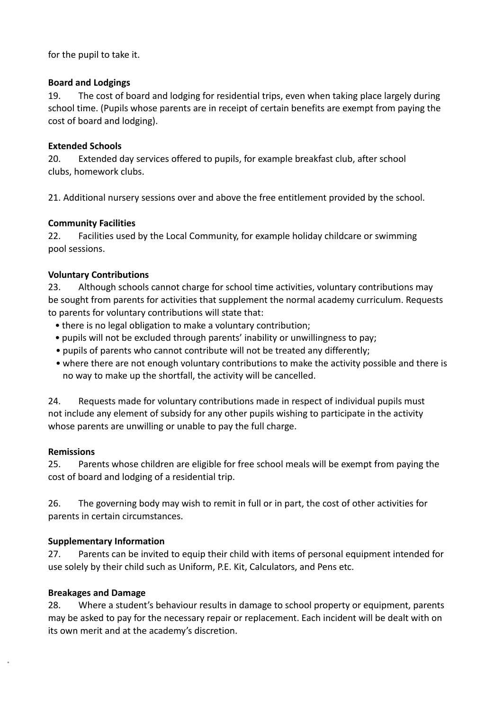for the pupil to take it.

## **Board and Lodgings**

19. The cost of board and lodging for residential trips, even when taking place largely during school time. (Pupils whose parents are in receipt of certain benefits are exempt from paying the cost of board and lodging).

## **Extended Schools**

20. Extended day services offered to pupils, for example breakfast club, after school clubs, homework clubs.

21. Additional nursery sessions over and above the free entitlement provided by the school.

## **Community Facilities**

22. Facilities used by the Local Community, for example holiday childcare or swimming pool sessions.

## **Voluntary Contributions**

23. Although schools cannot charge for school time activities, voluntary contributions may be sought from parents for activities that supplement the normal academy curriculum. Requests to parents for voluntary contributions will state that:

- there is no legal obligation to make a voluntary contribution;
- pupils will not be excluded through parents' inability or unwillingness to pay;
- pupils of parents who cannot contribute will not be treated any differently;
- where there are not enough voluntary contributions to make the activity possible and there is no way to make up the shortfall, the activity will be cancelled.

24. Requests made for voluntary contributions made in respect of individual pupils must not include any element of subsidy for any other pupils wishing to participate in the activity whose parents are unwilling or unable to pay the full charge.

#### **Remissions**

25. Parents whose children are eligible for free school meals will be exempt from paying the cost of board and lodging of a residential trip.

26. The governing body may wish to remit in full or in part, the cost of other activities for parents in certain circumstances.

# **Supplementary Information**

27. Parents can be invited to equip their child with items of personal equipment intended for use solely by their child such as Uniform, P.E. Kit, Calculators, and Pens etc.

#### **Breakages and Damage**

28. Where a student's behaviour results in damage to school property or equipment, parents may be asked to pay for the necessary repair or replacement. Each incident will be dealt with on its own merit and at the academy's discretion.